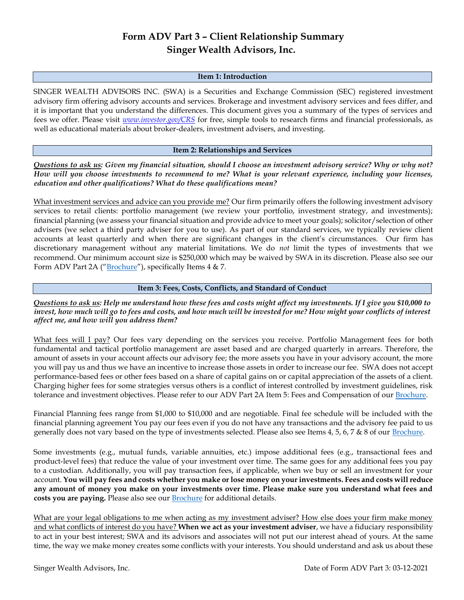# **Form ADV Part 3 – Client Relationship Summary Singer Wealth Advisors, Inc.**

#### **Item 1: Introduction**

SINGER WEALTH ADVISORS INC. (SWA) is a Securities and Exchange Commission (SEC) registered investment advisory firm offering advisory accounts and services. Brokerage and investment advisory services and fees differ, and it is important that you understand the differences. This document gives you a summary of the types of services and fees we offer. Please visit *www.investor.gov/CRS* for free, simple tools to research firms and financial professionals, as well as educational materials about broker-dealers, investment advisers, and investing.

## **Item 2: Relationships and Services**

*Questions to ask us: Given my financial situation, should I choose an investment advisory service? Why or why not? How will you choose investments to recommend to me? What is your relevant experience, including your licenses, education and other qualifications? What do these qualifications mean?*

What investment services and advice can you provide me? Our firm primarily offers the following investment advisory services to retail clients: portfolio management (we review your portfolio, investment strategy, and investments); financial planning (we assess your financial situation and provide advice to meet your goals); solicitor/selection of other advisers (we select a third party adviser for you to use). As part of our standard services, we typically review client accounts at least quarterly and when there are significant changes in the client's circumstances. Our firm has discretionary management without any material limitations. We do *not* limit the types of investments that we recommend. Our minimum account size is \$250,000 which may be waived by SWA in its discretion. Please also see our Form ADV Part 2A ("[Brochure](https://keithsinger.com/wp-content/uploads/2020/10/2020-09-17-ADV-2A-.pdf)"), specifically Items 4 & 7.

## **Item 3: Fees, Costs, Conflicts, and Standard of Conduct**

*Questions to ask us: Help me understand how these fees and costs might affect my investments. If I give you \$10,000 to invest, how much will go to fees and costs, and how much will be invested for me? How might your conflicts of interest affect me, and how will you address them?* 

What fees will I pay? Our fees vary depending on the services you receive. Portfolio Management fees for both fundamental and tactical portfolio management are asset based and are charged quarterly in arrears. Therefore, the amount of assets in your account affects our advisory fee; the more assets you have in your advisory account, the more you will pay us and thus we have an incentive to increase those assets in order to increase our fee. SWA does not accept performance-based fees or other fees based on a share of capital gains on or capital appreciation of the assets of a client. Charging higher fees for some strategies versus others is a conflict of interest controlled by investment guidelines, risk tolerance and investment objectives. Please refer to our ADV Part 2A Item 5: Fees and Compensation of our Brochure.

Financial Planning fees range from \$1,000 to \$10,000 and are negotiable. Final fee schedule will be included with the financial planning agreement You pay our fees even if you do not have any transactions and the advisory fee paid to us generally does not vary based on the type of investments selected. Please also see Items 4, 5, 6, 7 & 8 of our [Brochure.](https://keithsinger.com/wp-content/uploads/2020/10/2020-09-17-ADV-2A-.pdf)

Some investments (e.g., mutual funds, variable annuities, etc.) impose additional fees (e.g., transactional fees and product-level fees) that reduce the value of your investment over time. The same goes for any additional fees you pay to a custodian. Additionally, you will pay transaction fees, if applicable, when we buy or sell an investment for your account. **You will pay fees and costs whether you make or lose money on your investments. Fees and costs will reduce any amount of money you make on your investments over time. Please make sure you understand what fees and costs you are paying.** Please also see our [Brochure](https://keithsinger.com/wp-content/uploads/2020/10/2020-09-17-ADV-2A-.pdf) for additional details.

What are your legal obligations to me when acting as my investment adviser? How else does your firm make money and what conflicts of interest do you have? **When we act as your investment adviser**, we have a fiduciary responsibility to act in your best interest; SWA and its advisors and associates will not put our interest ahead of yours. At the same time, the way we make money creates some conflicts with your interests. You should understand and ask us about these